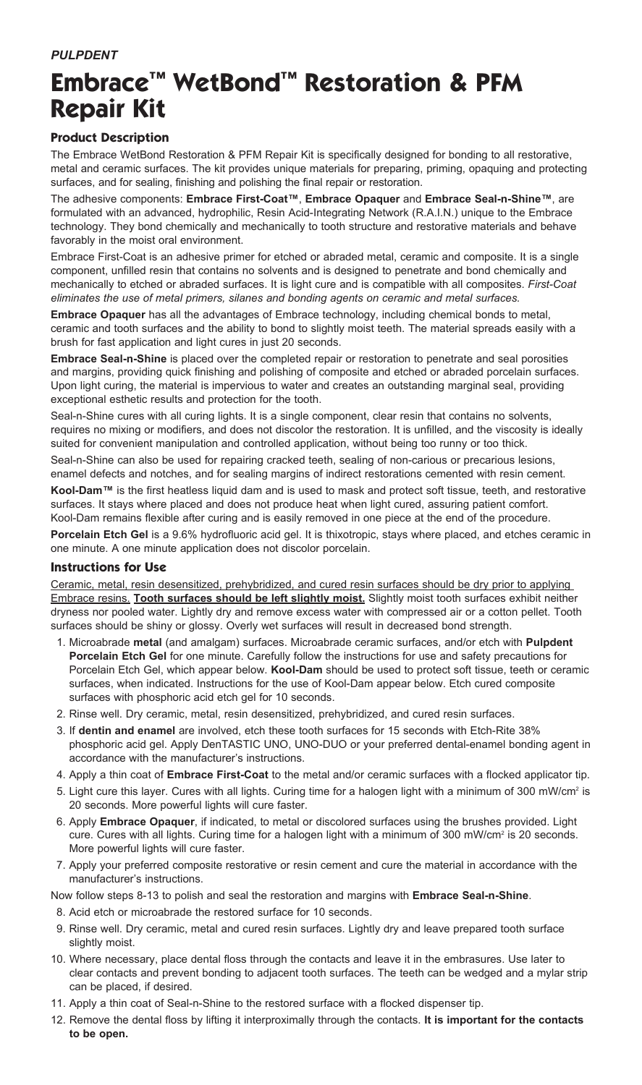# **Embrace™ WetBond™ Restoration & PFM Repair Kit**

## **Product Description**

The Embrace WetBond Restoration & PFM Repair Kit is specifically designed for bonding to all restorative, metal and ceramic surfaces. The kit provides unique materials for preparing, priming, opaquing and protecting surfaces, and for sealing, finishing and polishing the final repair or restoration.

The adhesive components: **Embrace First-Coat™**, **Embrace Opaquer** and **Embrace Seal-n-Shine™**, are formulated with an advanced, hydrophilic, Resin Acid-Integrating Network (R.A.I.N.) unique to the Embrace technology. They bond chemically and mechanically to tooth structure and restorative materials and behave favorably in the moist oral environment.

Embrace First-Coat is an adhesive primer for etched or abraded metal, ceramic and composite. It is a single component, unfilled resin that contains no solvents and is designed to penetrate and bond chemically and mechanically to etched or abraded surfaces. It is light cure and is compatible with all composites. *First-Coat eliminates the use of metal primers, silanes and bonding agents on ceramic and metal surfaces.*

**Embrace Opaquer** has all the advantages of Embrace technology, including chemical bonds to metal, ceramic and tooth surfaces and the ability to bond to slightly moist teeth. The material spreads easily with a brush for fast application and light cures in just 20 seconds.

**Embrace Seal-n-Shine** is placed over the completed repair or restoration to penetrate and seal porosities and margins, providing quick finishing and polishing of composite and etched or abraded porcelain surfaces. Upon light curing, the material is impervious to water and creates an outstanding marginal seal, providing exceptional esthetic results and protection for the tooth.

Seal-n-Shine cures with all curing lights. It is a single component, clear resin that contains no solvents, requires no mixing or modifiers, and does not discolor the restoration. It is unfilled, and the viscosity is ideally suited for convenient manipulation and controlled application, without being too runny or too thick.

Seal-n-Shine can also be used for repairing cracked teeth, sealing of non-carious or precarious lesions, enamel defects and notches, and for sealing margins of indirect restorations cemented with resin cement.

Kool-Dam<sup>™</sup> is the first heatless liquid dam and is used to mask and protect soft tissue, teeth, and restorative surfaces. It stays where placed and does not produce heat when light cured, assuring patient comfort. Kool-Dam remains flexible after curing and is easily removed in one piece at the end of the procedure.

**Porcelain Etch Gel** is a 9.6% hydrofluoric acid gel. It is thixotropic, stays where placed, and etches ceramic in one minute. A one minute application does not discolor porcelain.

### **Instructions for Use**

Ceramic, metal, resin desensitized, prehybridized, and cured resin surfaces should be dry prior to applying Embrace resins. **Tooth surfaces should be left slightly moist.** Slightly moist tooth surfaces exhibit neither dryness nor pooled water. Lightly dry and remove excess water with compressed air or a cotton pellet. Tooth surfaces should be shiny or glossy. Overly wet surfaces will result in decreased bond strength.

- 1. Microabrade **metal** (and amalgam) surfaces. Microabrade ceramic surfaces, and/or etch with **Pulpdent Porcelain Etch Gel** for one minute. Carefully follow the instructions for use and safety precautions for Porcelain Etch Gel, which appear below. **Kool-Dam** should be used to protect soft tissue, teeth or ceramic surfaces, when indicated. Instructions for the use of Kool-Dam appear below. Etch cured composite surfaces with phosphoric acid etch gel for 10 seconds.
- 2. Rinse well. Dry ceramic, metal, resin desensitized, prehybridized, and cured resin surfaces.
- 3. If **dentin and enamel** are involved, etch these tooth surfaces for 15 seconds with Etch-Rite 38% phosphoric acid gel. Apply DenTASTIC UNO, UNO-DUO or your preferred dental-enamel bonding agent in accordance with the manufacturer's instructions.
- 4. Apply a thin coat of **Embrace First-Coat** to the metal and/or ceramic surfaces with a flocked applicator tip.
- 5. Light cure this layer. Cures with all lights. Curing time for a halogen light with a minimum of 300 mW/cm² is 20 seconds. More powerful lights will cure faster.
- 6. Apply **Embrace Opaquer**, if indicated, to metal or discolored surfaces using the brushes provided. Light cure. Cures with all lights. Curing time for a halogen light with a minimum of 300 mW/cm<sup>2</sup> is 20 seconds. More powerful lights will cure faster.
- 7. Apply your preferred composite restorative or resin cement and cure the material in accordance with the manufacturer's instructions.

Now follow steps 8-13 to polish and seal the restoration and margins with **Embrace Seal-n-Shine**.

- 8. Acid etch or microabrade the restored surface for 10 seconds.
- 9. Rinse well. Dry ceramic, metal and cured resin surfaces. Lightly dry and leave prepared tooth surface slightly moist.
- 10. Where necessary, place dental floss through the contacts and leave it in the embrasures. Use later to clear contacts and prevent bonding to adjacent tooth surfaces. The teeth can be wedged and a mylar strip can be placed, if desired.
- 11. Apply a thin coat of Seal-n-Shine to the restored surface with a flocked dispenser tip.
- 12. Remove the dental floss by lifting it interproximally through the contacts. **It is important for the contacts to be open.**